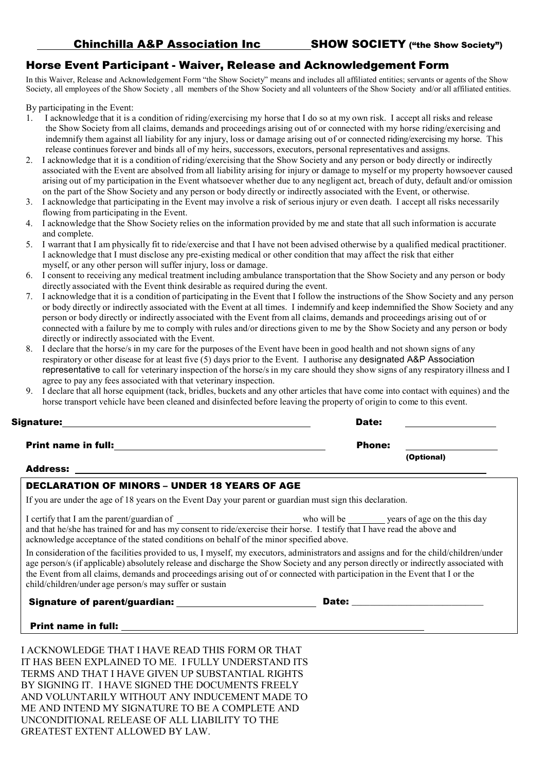## Horse Event Participant - Waiver, Release and Acknowledgement Form

In this Waiver, Release and Acknowledgement Form "the Show Society" means and includes all affiliated entities; servants or agents of the Show Society, all employees of the Show Society , all members of the Show Society and all volunteers of the Show Society and/or all affiliated entities.

By participating in the Event:

- 1. I acknowledge that it is a condition of riding/exercising my horse that I do so at my own risk. I accept all risks and release the Show Society from all claims, demands and proceedings arising out of or connected with my horse riding/exercising and indemnify them against all liability for any injury, loss or damage arising out of or connected riding/exercising my horse. This release continues forever and binds all of my heirs, successors, executors, personal representatives and assigns.
- 2. I acknowledge that it is a condition of riding/exercising that the Show Society and any person or body directly or indirectly associated with the Event are absolved from all liability arising for injury or damage to myself or my property howsoever caused arising out of my participation in the Event whatsoever whether due to any negligent act, breach of duty, default and/or omission on the part of the Show Society and any person or body directly or indirectly associated with the Event, or otherwise.
- 3. I acknowledge that participating in the Event may involve a risk of serious injury or even death. I accept all risks necessarily flowing from participating in the Event.
- 4. I acknowledge that the Show Society relies on the information provided by me and state that all such information is accurate and complete.
- 5. I warrant that I am physically fit to ride/exercise and that I have not been advised otherwise by a qualified medical practitioner. I acknowledge that I must disclose any pre-existing medical or other condition that may affect the risk that either myself, or any other person will suffer injury, loss or damage.
- 6. I consent to receiving any medical treatment including ambulance transportation that the Show Society and any person or body directly associated with the Event think desirable as required during the event.
- 7. I acknowledge that it is a condition of participating in the Event that I follow the instructions of the Show Society and any person or body directly or indirectly associated with the Event at all times. I indemnify and keep indemnified the Show Society and any person or body directly or indirectly associated with the Event from all claims, demands and proceedings arising out of or connected with a failure by me to comply with rules and/or directions given to me by the Show Society and any person or body directly or indirectly associated with the Event.
- 8. I declare that the horse/s in my care for the purposes of the Event have been in good health and not shown signs of any respiratory or other disease for at least five (5) days prior to the Event. I authorise any designated A&P Association representative to call for veterinary inspection of the horse/s in my care should they show signs of any respiratory illness and I agree to pay any fees associated with that veterinary inspection.
- 9. I declare that all horse equipment (tack, bridles, buckets and any other articles that have come into contact with equines) and the horse transport vehicle have been cleaned and disinfected before leaving the property of origin to come to this event.

| Signature:                 | Date:         |            |
|----------------------------|---------------|------------|
| <b>Print name in full:</b> | <b>Phone:</b> |            |
| - - -                      |               | (Optional) |

#### Address:

### DECLARATION OF MINORS – UNDER 18 YEARS OF AGE

If you are under the age of 18 years on the Event Day your parent or guardian must sign this declaration.

I certify that I am the parent/guardian of who will be who will be who will be years of age on the this day and that he/she has trained for and has my consent to ride/exercise their horse. I testify that I have read the above and acknowledge acceptance of the stated conditions on behalf of the minor specified above.

In consideration of the facilities provided to us, I myself, my executors, administrators and assigns and for the child/children/under age person/s (if applicable) absolutely release and discharge the Show Society and any person directly or indirectly associated with the Event from all claims, demands and proceedings arising out of or connected with participation in the Event that I or the child/children/under age person/s may suffer or sustain

Signature of parent/guardian: \_\_\_\_\_\_\_\_\_\_\_\_\_\_\_\_\_\_\_\_\_\_\_\_\_\_\_\_\_\_\_\_D

| Date:<br>$ -$ |  |
|---------------|--|
|               |  |
|               |  |

 $\overline{a}$ 

Print name in full:

I ACKNOWLEDGE THAT I HAVE READ THIS FORM OR THAT IT HAS BEEN EXPLAINED TO ME. I FULLY UNDERSTAND ITS TERMS AND THAT I HAVE GIVEN UP SUBSTANTIAL RIGHTS BY SIGNING IT. I HAVE SIGNED THE DOCUMENTS FREELY AND VOLUNTARILY WITHOUT ANY INDUCEMENT MADE TO ME AND INTEND MY SIGNATURE TO BE A COMPLETE AND UNCONDITIONAL RELEASE OF ALL LIABILITY TO THE GREATEST EXTENT ALLOWED BY LAW.